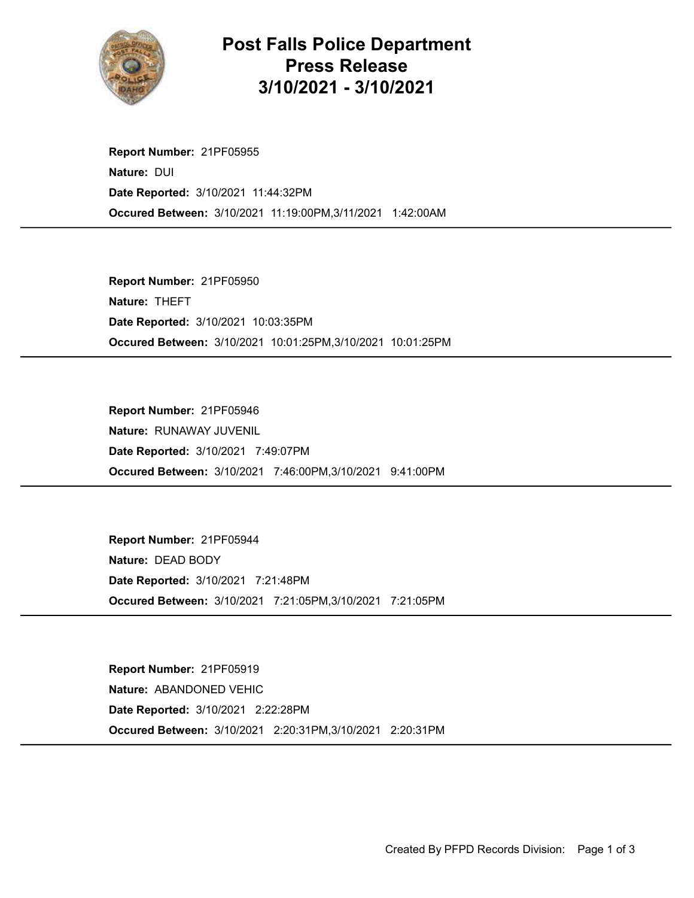

## Post Falls Police Department Press Release 3/10/2021 - 3/10/2021

Occured Between: 3/10/2021 11:19:00PM,3/11/2021 1:42:00AM Report Number: 21PF05955 Nature: DUI Date Reported: 3/10/2021 11:44:32PM

Occured Between: 3/10/2021 10:01:25PM,3/10/2021 10:01:25PM Report Number: 21PF05950 Nature: THEFT Date Reported: 3/10/2021 10:03:35PM

Occured Between: 3/10/2021 7:46:00PM,3/10/2021 9:41:00PM Report Number: 21PF05946 Nature: RUNAWAY JUVENIL Date Reported: 3/10/2021 7:49:07PM

Occured Between: 3/10/2021 7:21:05PM,3/10/2021 7:21:05PM Report Number: 21PF05944 Nature: DEAD BODY Date Reported: 3/10/2021 7:21:48PM

Occured Between: 3/10/2021 2:20:31PM,3/10/2021 2:20:31PM Report Number: 21PF05919 Nature: ABANDONED VEHIC Date Reported: 3/10/2021 2:22:28PM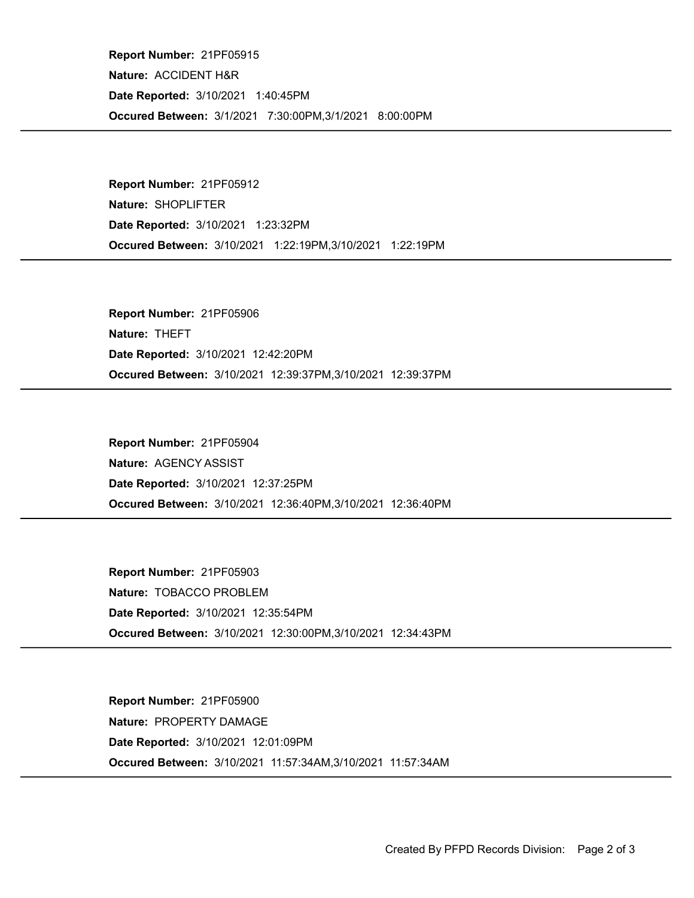Occured Between: 3/1/2021 7:30:00PM,3/1/2021 8:00:00PM Report Number: 21PF05915 Nature: ACCIDENT H&R Date Reported: 3/10/2021 1:40:45PM

Occured Between: 3/10/2021 1:22:19PM,3/10/2021 1:22:19PM Report Number: 21PF05912 Nature: SHOPLIFTER Date Reported: 3/10/2021 1:23:32PM

Occured Between: 3/10/2021 12:39:37PM,3/10/2021 12:39:37PM Report Number: 21PF05906 Nature: THEFT Date Reported: 3/10/2021 12:42:20PM

Occured Between: 3/10/2021 12:36:40PM,3/10/2021 12:36:40PM Report Number: 21PF05904 Nature: AGENCY ASSIST Date Reported: 3/10/2021 12:37:25PM

Occured Between: 3/10/2021 12:30:00PM,3/10/2021 12:34:43PM Report Number: 21PF05903 Nature: TOBACCO PROBLEM Date Reported: 3/10/2021 12:35:54PM

Occured Between: 3/10/2021 11:57:34AM,3/10/2021 11:57:34AM Report Number: 21PF05900 Nature: PROPERTY DAMAGE Date Reported: 3/10/2021 12:01:09PM